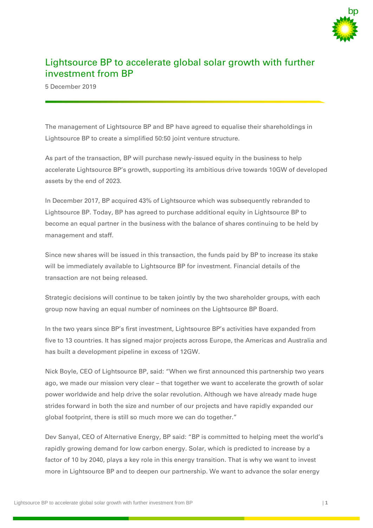

## Lightsource BP to accelerate global solar growth with further investment from BP

5 December 2019

The management of Lightsource BP and BP have agreed to equalise their shareholdings in Lightsource BP to create a simplified 50:50 joint venture structure.

As part of the transaction, BP will purchase newly-issued equity in the business to help accelerate Lightsource BP's growth, supporting its ambitious drive towards 10GW of developed assets by the end of 2023.

In December 2017, BP acquired 43% of Lightsource which was subsequently rebranded to Lightsource BP. Today, BP has agreed to purchase additional equity in Lightsource BP to become an equal partner in the business with the balance of shares continuing to be held by management and staff.

Since new shares will be issued in this transaction, the funds paid by BP to increase its stake will be immediately available to Lightsource BP for investment. Financial details of the transaction are not being released.

Strategic decisions will continue to be taken jointly by the two shareholder groups, with each group now having an equal number of nominees on the Lightsource BP Board.

In the two years since BP's first investment, Lightsource BP's activities have expanded from five to 13 countries. It has signed major projects across Europe, the Americas and Australia and has built a development pipeline in excess of 12GW.

Nick Boyle, CEO of Lightsource BP, said: "When we first announced this partnership two years ago, we made our mission very clear – that together we want to accelerate the growth of solar power worldwide and help drive the solar revolution. Although we have already made huge strides forward in both the size and number of our projects and have rapidly expanded our global footprint, there is still so much more we can do together."

Dev Sanyal, CEO of Alternative Energy, BP said: "BP is committed to helping meet the world's rapidly growing demand for low carbon energy. Solar, which is predicted to increase by a factor of 10 by 2040, plays a key role in this energy transition. That is why we want to invest more in Lightsource BP and to deepen our partnership. We want to advance the solar energy